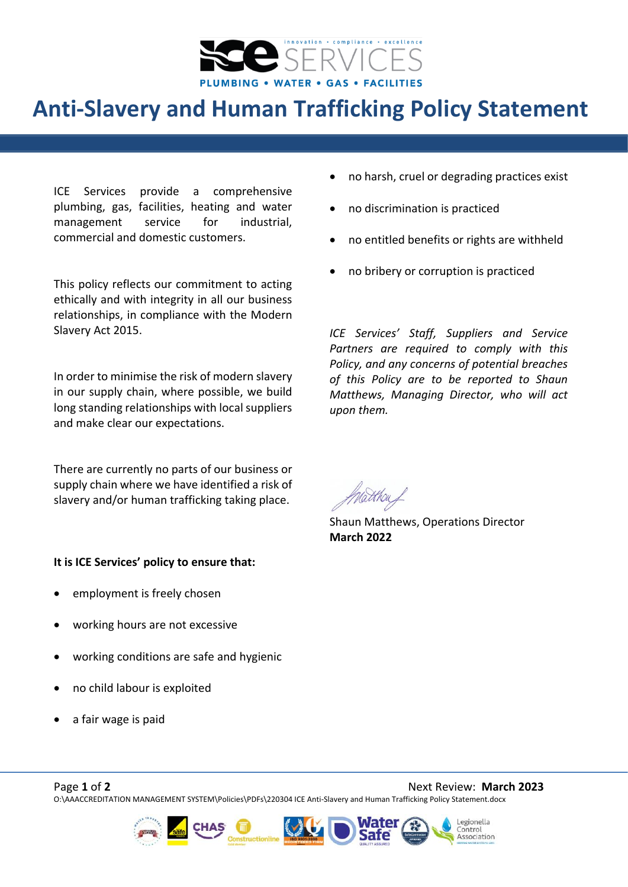

## **Anti-Slavery and Human Trafficking Policy Statement**

ICE Services provide a comprehensive plumbing, gas, facilities, heating and water management service for industrial, commercial and domestic customers.

This policy reflects our commitment to acting ethically and with integrity in all our business relationships, in compliance with the Modern Slavery Act 2015.

In order to minimise the risk of modern slavery in our supply chain, where possible, we build long standing relationships with local suppliers and make clear our expectations.

There are currently no parts of our business or supply chain where we have identified a risk of slavery and/or human trafficking taking place.

## **It is ICE Services' policy to ensure that:**

- employment is freely chosen
- working hours are not excessive
- working conditions are safe and hygienic
- no child labour is exploited
- a fair wage is paid
- no harsh, cruel or degrading practices exist
- no discrimination is practiced
- no entitled benefits or rights are withheld
- no bribery or corruption is practiced

*ICE Services' Staff, Suppliers and Service Partners are required to comply with this Policy, and any concerns of potential breaches of this Policy are to be reported to Shaun Matthews, Managing Director, who will act upon them.*

Shaun Matthews, Operations Director **March 2022**